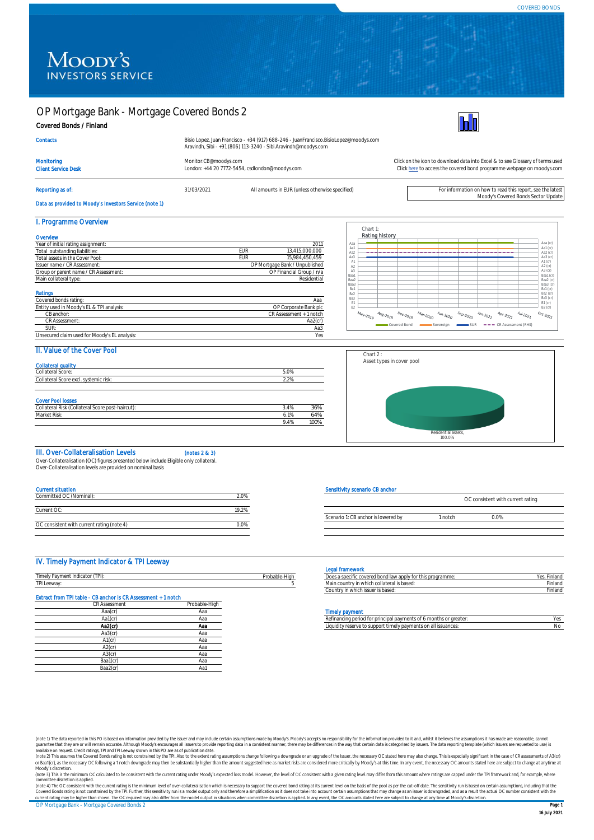# OP Mortgage Bank - Mortgage Covered Bonds 2

## Covered Bonds / Finland

| Bisio Lopez, Juan Francisco - +34 (917) 688-246 - JuanFrancisco.BisioLopez@moodys.com |
|---------------------------------------------------------------------------------------|
| Aravindh, Sibi - +91 (806) 113-3240 - Sibi.Aravindh@moodys.com                        |
|                                                                                       |



**Contacts** Monitoring [Monitor.CB@moodys.com](mailto:Monitor.CB@moodys.com) Click on the icon to download data into Excel & to see Glossary of terms used<br>Click on the icon to download data into Excel & to see Glossary of terms used<br>Click here to access the covered Client Service Desk London: +44 20 7772-5454, csdlondon@moodys.com Reporting as of: see the latest and the states of: 31/03/2021 All amounts in EUR (unless otherwise specified)<br>Moody's Covered Bonds Sector Update [Click here](https://www.moodys.com/credit-ratings/OP-Mortgage-Bank--Mortgage-Covered-Bonds-2-credit-rating-722101483) to access the covered bond programme webpage on moodys.com

Data as provided to Moody's Investors Service (note 1)

#### I. Programme Overview

| Overview                                      |             |                                |
|-----------------------------------------------|-------------|--------------------------------|
| Year of initial rating assignment:            |             | 2011                           |
| Total outstanding liabilities:                | EUR         | 13.415.000.000                 |
| Total assets in the Cover Pool:               | EUR         | 15.984.450.459                 |
| Issuer name / CR Assessment:                  |             | OP Mortgage Bank / Unpublished |
| Group or parent name / CR Assessment:         |             | OP Financial Group / n/a       |
| Main collateral type:                         | Residential |                                |
|                                               |             |                                |
| Ratings                                       |             |                                |
| Covered bonds rating:                         |             | Ааа                            |
| Entity used in Moody's EL & TPI analysis:     |             | OP Corporate Bank plc          |
| CB anchor:                                    |             | CR Assessment + 1 notch        |
| CR Assessment:                                |             | Aa2(cr)                        |
| SUR:                                          |             | Aa3                            |
| Unsecured claim used for Moody's EL analysis: |             | Yes                            |



# II. Value of the Cover Pool

| <b>Collateral quality</b>                        |      |      |
|--------------------------------------------------|------|------|
| Collateral Score:                                | 5.0% |      |
| Collateral Score excl. systemic risk:            | 2.2% |      |
|                                                  |      |      |
|                                                  |      |      |
| <b>Cover Pool losses</b>                         |      |      |
| Collateral Risk (Collateral Score post-haircut): | 3.4% | 36%  |
| Market Risk:                                     | 6.1% | 64%  |
|                                                  | 9.4% | 100% |



### III. Over-Collateralisation Levels (notes 2 & 3)

Over-Collateralisation (OC) figures presented below include Eligible only collateral.

Over-Collateralisation levels are provided on nominal basis

| <b>Current situation</b>                   |       |
|--------------------------------------------|-------|
| Committed OC (Nominal):                    | 20%   |
|                                            |       |
| Current OC:                                | 19 2% |
|                                            |       |
| OC consistent with current rating (note 4) | 0.0%  |
|                                            |       |

### IV. Timely Payment Indicator & TPI Leeway

|                                                   |                    | egal framework                                                                    |          |
|---------------------------------------------------|--------------------|-----------------------------------------------------------------------------------|----------|
| 'TPh<br>Indicator<br>l imely'<br><b>THUICALUI</b> | .<br>Probable-Higr | $\sim$<br>hond I<br>that this programmie.<br>ww.cu DUHu law apply -<br>. <i>.</i> | inlar    |
| TPI Leeway                                        |                    | :which collateral is based ו<br>n countr<br>' II I VVI IIU I                      | - inland |
|                                                   |                    | v in which issuer is based<br>∪ountr<br>nv i                                      | Finland  |

# Extract from TPI table - CB anchor is CR Assessment + 1 notch

| <b>CR Assessment</b> | Probable-High |
|----------------------|---------------|
| Aaa(cr)              | Aaa           |
| Aa1(cr)              | Aaa           |
| Aa2(cr)              | Aaa           |
| Aa3(cr)              | Ааа           |
| $A1$ (cr)            | Aaa           |
| $A2$ (cr)            | Aaa           |
| $A3$ ( $cr$ )        | Aaa           |
| Baa1(cr)             | Aaa           |
| Baa2(cr)             | Aa1           |
|                      |               |

#### Sensitivity scenario CB anchor

|                                     |         | OC consistent with current rating |  |
|-------------------------------------|---------|-----------------------------------|--|
| Scenario 1: CB anchor is lowered by | 1 notch | በ በ%                              |  |
|                                     |         |                                   |  |

#### Legal framework

| Does a specific covered bond law apply for this programme: | Yes. Finland |
|------------------------------------------------------------|--------------|
| Main country in which collateral is based:                 |              |
| Country in which issuer is based:                          |              |
|                                                            |              |

#### **Timely nayment**

| Aa1(cr | Hd. | hs or greater<br>Refinancing period for principal payments of 6 months or o         |  |
|--------|-----|-------------------------------------------------------------------------------------|--|
| Aa2(cr | Aa. | rt timely payments on all i<br>eserve to suppor:<br>issuances<br>iauidi<br>CRAPPLIE |  |

(note 1) The data reported in this PO is based on information provided by the issuer and may include certain assumptions made by Moody's Moody's accepts no responsibility for the information provided o it and, whilst it be

OP Mortgage Bank - Mortgage Covered Bonds 2 **Page 1 Page 1** committee discretion is applied.<br>(note 4) The OC consistent with the current rating is the minimum level of over-collateralisation which is necessary to support the covered bond rating at its current level on the basis of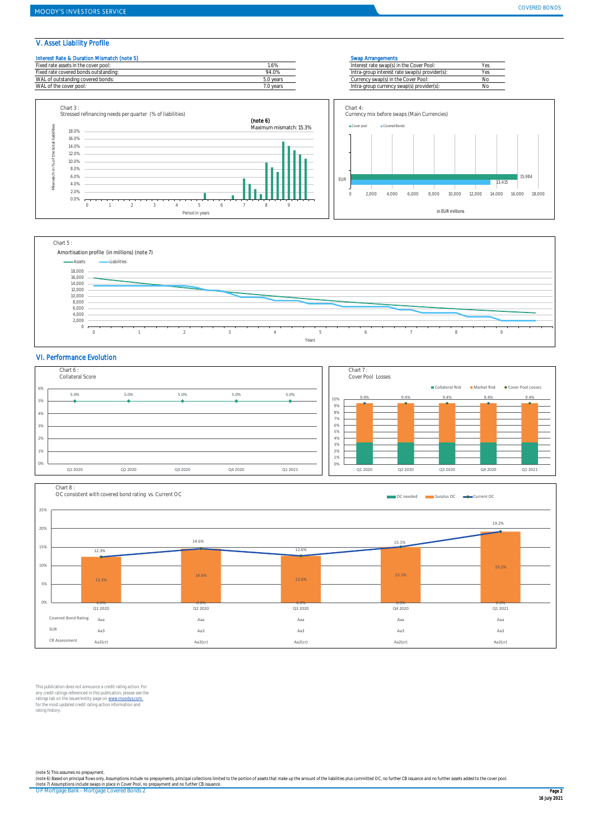## V. Asset Liability Profile

| Interest Rate & Duration Mismatch (note 5) |           | Swap Arrangements                              |  |
|--------------------------------------------|-----------|------------------------------------------------|--|
| Fixed rate assets in the cover pool:       | $.6\%$    | Interest rate swap(s) in the Cover Pool:       |  |
| Fixed rate covered bonds outstanding:      | 94.0%     | Intra-group interest rate swap(s) provider(s): |  |
| WAL of outstanding covered bonds:          | 5.0 years | Currency swap(s) in the Cover Pool:            |  |
| WAL of the cover pool:                     | 7.0 vears | Intra-group currency swap(s) provider(s):      |  |
|                                            |           |                                                |  |





## VI. Performance Evolution





This publication does not announce a credit rating action. For<br>any credit ratings referenced in this publication, please see the<br>ratings tab on the issuer/entity page on <u>www.mondys.com</u><br>for the most updated credit rating rating history.

OP Mortgage Bank - Mortgage Covered Bonds 2 Page 2 (note 5) This assumes no prepayment.<br>(note 6) Based on principal flows only. Assumptions include no prepayments, principal collections limited to the portion of assets that make up the amount of the liabilities plus commit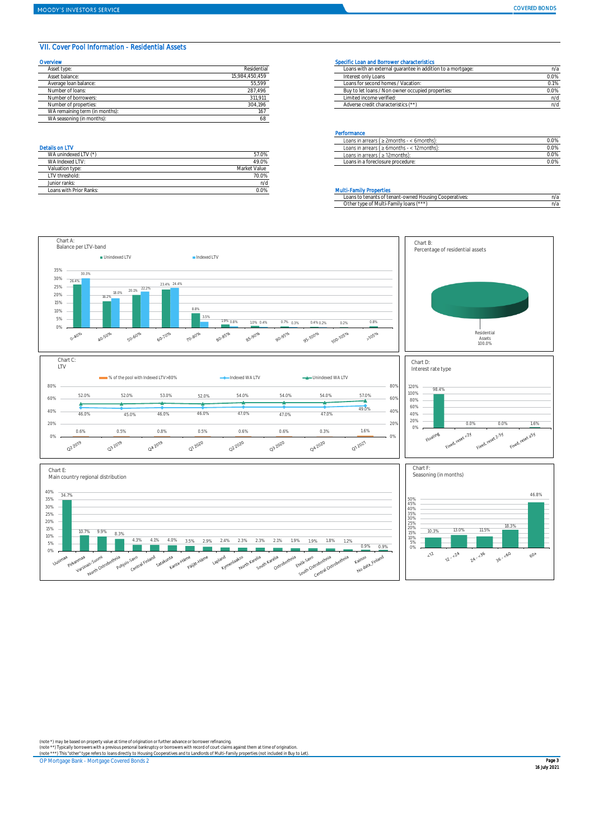### VII. Cover Pool Information - Residential Assets

| Overvlew                       |                | Specific Loan and Borrower characteristics                  |      |
|--------------------------------|----------------|-------------------------------------------------------------|------|
| Asset type:                    | Residential    | Loans with an external quarantee in addition to a mortgage: | n/z  |
| Asset balance:                 | 15.984.450.459 | Interest only Loans                                         | 0.0% |
| Average Ioan balance:          | 55,599         | Loans for second homes / Vacation:                          | 0.1% |
| Number of loans:               | 287,496        | Buy to let loans / Non owner occupied properties:           | 0.0% |
| Number of borrowers:           | 311,911        | Limited income verified:                                    | n/c  |
| Number of properties:          | 304.196        | Adverse credit characteristics (**)                         | n/c  |
| WA remaining term (in months): | 167            |                                                             |      |
| WA seasoning (in months):      |                |                                                             |      |

| WA unindexed LTV (*)    | 57.0%        |
|-------------------------|--------------|
| WA Indexed I TV:        | 49.0%        |
| Valuation type:         | Market Value |
| LTV threshold:          | 70.0%        |
| Junior ranks:           | n/d          |
| Loans with Prior Ranks: | ገ በ%         |

| Asset type<br>Residential<br>Loans with an external quarantee in addition to a mortgage: | n/a  |
|------------------------------------------------------------------------------------------|------|
| 15.984.450.459<br>Asset balance:<br>Interest only Loans                                  | 0.0% |
| 55.599<br>Loans for second homes / Vacation:<br>Average Ioan balance:                    | 0.1% |
| 287.496<br>Buy to let loans / Non owner occupied properties:<br>Number of loans:         | 0.0% |
| 311.911<br>Limited income verified:<br>Number of borrowers:                              | n/d  |
| 304.196<br>Adverse credit characteristics (**)<br>Number of properties:                  |      |

#### **Performance**

|                       |       | .                                                        |      |  |
|-----------------------|-------|----------------------------------------------------------|------|--|
|                       |       | : 2months -<br>Loans in arrears (<br>- < 6months):       | 0.0% |  |
| <b>Details on LTV</b> |       | < 12 months).<br>$\geq 6$ months -<br>Loans in arrears ( | 0.0% |  |
| WA unindexed LT       | 57.0% | Loans in arrears ( ≥ 12months):                          | 0.0% |  |
| MA Indovad I          | 49.0% | nans ir<br>: in a foreclosure procedure: .               | 0.0% |  |
|                       |       |                                                          |      |  |

#### **Multi-Family Properties**

| Loans to tenants of tenant-owned Housing Cooperatives: | n/a |
|--------------------------------------------------------|-----|
| Other type of Multi-Family loans (***)                 | n/a |



(note \*) may be based on property value at time of origination or further advance or borrower refinancing.<br>(note \*\*) Typically borrowers with a previous personal bankruptcy or borrowers with record of court claims against

OP Mortgage Bank - Mortgage Covered Bonds 2 Page 3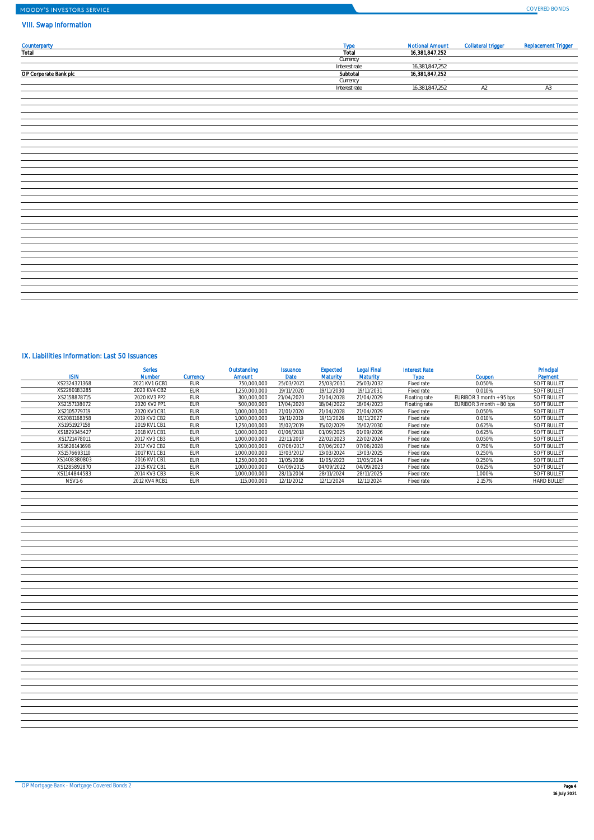# MOODY'S INVESTORS SERVICE

## VIII. Swap Information

| <b>Counterparty</b><br>Total | <b>Type</b>   | <b>Notional Amount</b> | <b>Collateral trigger</b> | <b>Replacement Trigger</b> |
|------------------------------|---------------|------------------------|---------------------------|----------------------------|
|                              | Total         | 16,381,847,252         |                           |                            |
|                              | Currency      | $\sim$                 |                           |                            |
|                              | Interest rate | 16,381,847,252         |                           |                            |
| OP Corporate Bank plc        | Subtotal      | 16,381,847,252         |                           |                            |
|                              | Currency      |                        |                           |                            |
|                              | Interest rate | 16,381,847,252         | A2                        | A3                         |
|                              |               |                        |                           |                            |
|                              |               |                        |                           |                            |
|                              |               |                        |                           |                            |
|                              |               |                        |                           |                            |
|                              |               |                        |                           |                            |
|                              |               |                        |                           |                            |
|                              |               |                        |                           |                            |
|                              |               |                        |                           |                            |
|                              |               |                        |                           |                            |
|                              |               |                        |                           |                            |
|                              |               |                        |                           |                            |
|                              |               |                        |                           |                            |
|                              |               |                        |                           |                            |
|                              |               |                        |                           |                            |
|                              |               |                        |                           |                            |
|                              |               |                        |                           |                            |
|                              |               |                        |                           |                            |
|                              |               |                        |                           |                            |
|                              |               |                        |                           |                            |
|                              |               |                        |                           |                            |
|                              |               |                        |                           |                            |
|                              |               |                        |                           |                            |
|                              |               |                        |                           |                            |
|                              |               |                        |                           |                            |
|                              |               |                        |                           |                            |
|                              |               |                        |                           |                            |
|                              |               |                        |                           |                            |
|                              |               |                        |                           |                            |
|                              |               |                        |                           |                            |
|                              |               |                        |                           |                            |
|                              |               |                        |                           |                            |

# IX. Liabilities Information: Last 50 Issuances

| <b>ISIN</b>  | <b>Series</b><br><b>Number</b> | <b>Currency</b> | Outstanding<br><b>Amount</b> | <b>Issuance</b><br><b>Date</b> | Expected<br><b>Maturity</b> | <b>Legal Final</b><br><b>Maturity</b> | <b>Interest Rate</b><br>Type | Coupon                   | Principal<br>Payment |
|--------------|--------------------------------|-----------------|------------------------------|--------------------------------|-----------------------------|---------------------------------------|------------------------------|--------------------------|----------------------|
| XS2324321368 | 2021 KV1 GCB1                  | EUR             | 750,000,000                  | 25/03/2021                     | 25/03/2031                  | 25/03/2032                            | Fixed rate                   | 0.050%                   | <b>SOFT BULLET</b>   |
| XS2260183285 | 2020 KV4 CB2                   | EUR             | 1.250.000.000                | 19/11/2020                     | 19/11/2030                  | 19/11/2031                            | Fixed rate                   | 0.010%                   | <b>SOFT BULLET</b>   |
| XS2158878715 | 2020 KV3 PP2                   | EUR             | 300,000,000                  | 21/04/2020                     | 21/04/2028                  | 21/04/2029                            | Floating rate                | EURIBOR 3 month + 95 bps | <b>SOFT BULLET</b>   |
| XS2157108072 | 2020 KV2 PP1                   | <b>EUR</b>      | 500.000.000                  | 17/04/2020                     | 18/04/2022                  | 18/04/2023                            | Floating rate                | EURIBOR 3 month + 80 bps | <b>SOFT BULLET</b>   |
| XS2105779719 | 2020 KV1 CB1                   | EUR             | 1.000.000.000                | 21/01/2020                     | 21/04/2028                  | 21/04/2029                            | Fixed rate                   | 0.050%                   | <b>SOFT BULLET</b>   |
| XS2081168358 | 2019 KV2 CB2                   | EUR             | 1.000.000.000                | 19/11/2019                     | 19/11/2026                  | 19/11/2027                            | Fixed rate                   | 0.010%                   | <b>SOFT BULLET</b>   |
| XS1951927158 | 2019 KV1 CB1                   | <b>EUR</b>      | 1.250.000.000                | 15/02/2019                     | 15/02/2029                  | 15/02/2030                            | Fixed rate                   | 0.625%                   | <b>SOFT BULLET</b>   |
| XS1829345427 | 2018 KV1 CB1                   | EUR             | 1.000.000.000                | 01/06/2018                     | 01/09/2025                  | 01/09/2026                            | Fixed rate                   | 0.625%                   | <b>SOFT BULLET</b>   |
| XS1721478011 | 2017 KV3 CB3                   | EUR             | 1.000.000.000                | 22/11/2017                     | 22/02/2023                  | 22/02/2024                            | Fixed rate                   | 0.050%                   | <b>SOFT BULLET</b>   |
| XS1626141698 | 2017 KV2 CB2                   | EUR             | 1.000.000.000                | 07/06/2017                     | 07/06/2027                  | 07/06/2028                            | Fixed rate                   | 0.750%                   | <b>SOFT BULLET</b>   |
| XS1576693110 | 2017 KV1 CB1                   | EUR             | 1.000.000.000                | 13/03/2017                     | 13/03/2024                  | 13/03/2025                            | Fixed rate                   | 0.250%                   | <b>SOFT BULLET</b>   |
| XS1408380803 | 2016 KV1 CB1                   | EUR             | 1.250.000.000                | 11/05/2016                     | 11/05/2023                  | 11/05/2024                            | Fixed rate                   | 0.250%                   | <b>SOFT BULLET</b>   |
| XS1285892870 | 2015 KV2 CB1                   | <b>EUR</b>      | 1.000.000.000                | 04/09/2015                     | 04/09/2022                  | 04/09/2023                            | Fixed rate                   | 0.625%                   | <b>SOFT BULLET</b>   |
| XS1144844583 | 2014 KV3 CB3                   | EUR             | 1.000.000.000                | 28/11/2014                     | 28/11/2024                  | 28/11/2025                            | Fixed rate                   | 1.000%                   | <b>SOFT BULLET</b>   |
| NSV1-6       | 2012 KV4 RCB1                  | <b>EUR</b>      | 115,000,000                  | 12/11/2012                     | 12/11/2024                  | 12/11/2024                            | Fixed rate                   | 2.157%                   | <b>HARD BULLET</b>   |
|              |                                |                 |                              |                                |                             |                                       |                              |                          |                      |